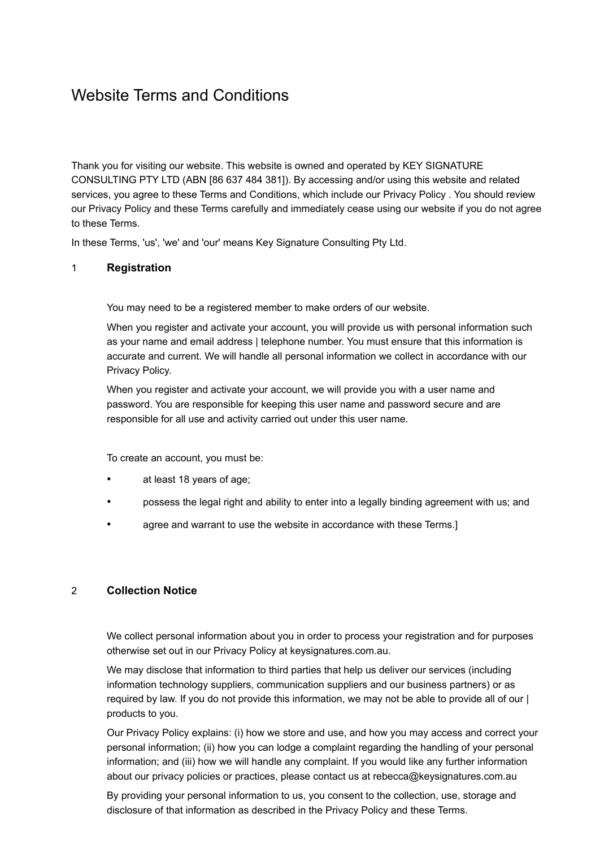# Website Terms and Conditions

Thank you for visiting our website. This website is owned and operated by KEY SIGNATURE CONSULTING PTY LTD (ABN [86 637 484 381]). By accessing and/or using this website and related services, you agree to these Terms and Conditions, which include our Privacy Policy . You should review our Privacy Policy and these Terms carefully and immediately cease using our website if you do not agree to these Terms.

In these Terms, 'us', 'we' and 'our' means Key Signature Consulting Pty Ltd.

## 1 **Registration**

You may need to be a registered member to make orders of our website.

When you register and activate your account, you will provide us with personal information such as your name and email address | telephone number. You must ensure that this information is accurate and current. We will handle all personal information we collect in accordance with our Privacy Policy.

When you register and activate your account, we will provide you with a user name and password. You are responsible for keeping this user name and password secure and are responsible for all use and activity carried out under this user name.

To create an account, you must be:

- at least 18 years of age;
- possess the legal right and ability to enter into a legally binding agreement with us; and
- agree and warrant to use the website in accordance with these Terms.]

### 2 **Collection Notice**

We collect personal information about you in order to process your registration and for purposes otherwise set out in our Privacy Policy at keysignatures.com.au.

We may disclose that information to third parties that help us deliver our services (including information technology suppliers, communication suppliers and our business partners) or as required by law. If you do not provide this information, we may not be able to provide all of our | products to you.

Our Privacy Policy explains: (i) how we store and use, and how you may access and correct your personal information; (ii) how you can lodge a complaint regarding the handling of your personal information; and (iii) how we will handle any complaint. If you would like any further information about our privacy policies or practices, please contact us at rebecca@keysignatures.com.au

By providing your personal information to us, you consent to the collection, use, storage and disclosure of that information as described in the Privacy Policy and these Terms.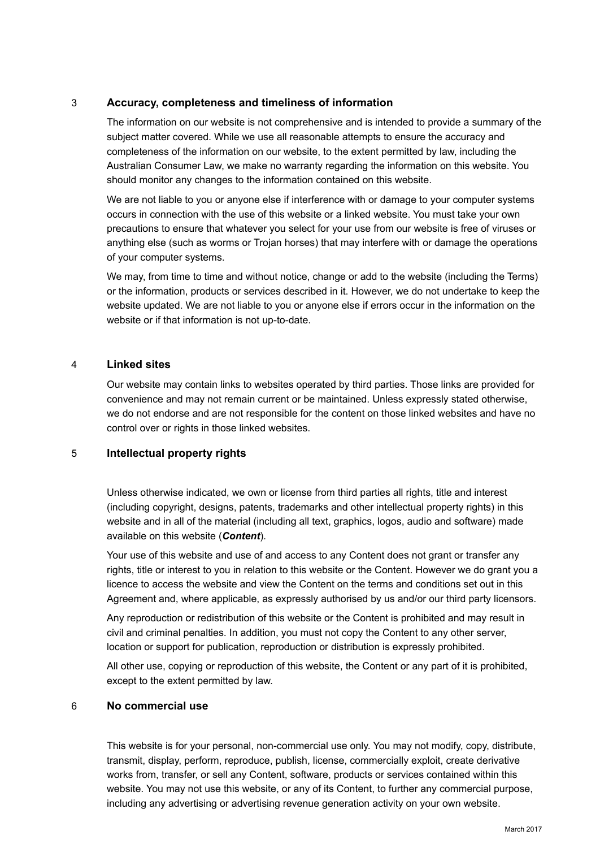# 3 **Accuracy, completeness and timeliness of information**

The information on our website is not comprehensive and is intended to provide a summary of the subject matter covered. While we use all reasonable attempts to ensure the accuracy and completeness of the information on our website, to the extent permitted by law, including the Australian Consumer Law, we make no warranty regarding the information on this website. You should monitor any changes to the information contained on this website.

We are not liable to you or anyone else if interference with or damage to your computer systems occurs in connection with the use of this website or a linked website. You must take your own precautions to ensure that whatever you select for your use from our website is free of viruses or anything else (such as worms or Trojan horses) that may interfere with or damage the operations of your computer systems.

We may, from time to time and without notice, change or add to the website (including the Terms) or the information, products or services described in it. However, we do not undertake to keep the website updated. We are not liable to you or anyone else if errors occur in the information on the website or if that information is not up-to-date.

### 4 **Linked sites**

Our website may contain links to websites operated by third parties. Those links are provided for convenience and may not remain current or be maintained. Unless expressly stated otherwise, we do not endorse and are not responsible for the content on those linked websites and have no control over or rights in those linked websites.

### 5 **Intellectual property rights**

Unless otherwise indicated, we own or license from third parties all rights, title and interest (including copyright, designs, patents, trademarks and other intellectual property rights) in this website and in all of the material (including all text, graphics, logos, audio and software) made available on this website (*Content*).

Your use of this website and use of and access to any Content does not grant or transfer any rights, title or interest to you in relation to this website or the Content. However we do grant you a licence to access the website and view the Content on the terms and conditions set out in this Agreement and, where applicable, as expressly authorised by us and/or our third party licensors.

Any reproduction or redistribution of this website or the Content is prohibited and may result in civil and criminal penalties. In addition, you must not copy the Content to any other server, location or support for publication, reproduction or distribution is expressly prohibited.

All other use, copying or reproduction of this website, the Content or any part of it is prohibited, except to the extent permitted by law.

## 6 **No commercial use**

This website is for your personal, non-commercial use only. You may not modify, copy, distribute, transmit, display, perform, reproduce, publish, license, commercially exploit, create derivative works from, transfer, or sell any Content, software, products or services contained within this website. You may not use this website, or any of its Content, to further any commercial purpose, including any advertising or advertising revenue generation activity on your own website.